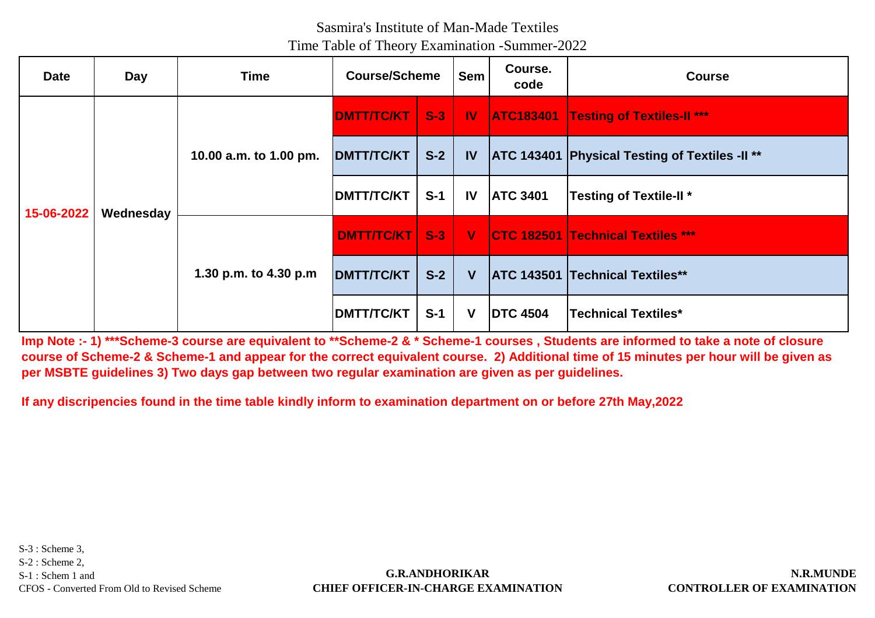# Sasmira's Institute of Man-Made Textiles

Time Table of Theory Examination -Summer-2022

| <b>Date</b> | Day       | Time                                            | <b>Course/Scheme</b> |       | <b>Sem</b>  | Course.<br>code | <b>Course</b>                                         |
|-------------|-----------|-------------------------------------------------|----------------------|-------|-------------|-----------------|-------------------------------------------------------|
| 15-06-2022  |           | 10.00 a.m. to 1.00 pm.<br>1.30 p.m. to 4.30 p.m | <b>DMTT/TC/KT</b>    |       |             |                 | S-3   IV   ATC183401   Testing of Textiles-II ***     |
|             |           |                                                 | <b>DMTT/TC/KT</b>    | $S-2$ | <b>IV</b>   |                 | <b>ATC 143401 Physical Testing of Textiles -II **</b> |
|             | Wednesday |                                                 | <b>DMTT/TC/KT</b>    | $S-1$ | <b>IV</b>   | <b>ATC 3401</b> | <b>Testing of Textile-II*</b>                         |
|             |           |                                                 | <b>DMTT/TC/KT</b>    |       | $S-3$ $V$   |                 | <b>CTC 182501 Technical Textiles ***</b>              |
|             |           |                                                 | <b>DMTT/TC/KT</b>    | $S-2$ | V           |                 | <b>ATC 143501 Technical Textiles**</b>                |
|             |           |                                                 | <b>DMTT/TC/KT</b>    | $S-1$ | $\mathbf V$ | <b>DTC 4504</b> | <b>Technical Textiles*</b>                            |

**Imp Note :- 1) \*\*\*Scheme-3 course are equivalent to \*\*Scheme-2 & \* Scheme-1 courses , Students are informed to take a note of closure course of Scheme-2 & Scheme-1 and appear for the correct equivalent course. 2) Additional time of 15 minutes per hour will be given as per MSBTE guidelines 3) Two days gap between two regular examination are given as per guidelines.**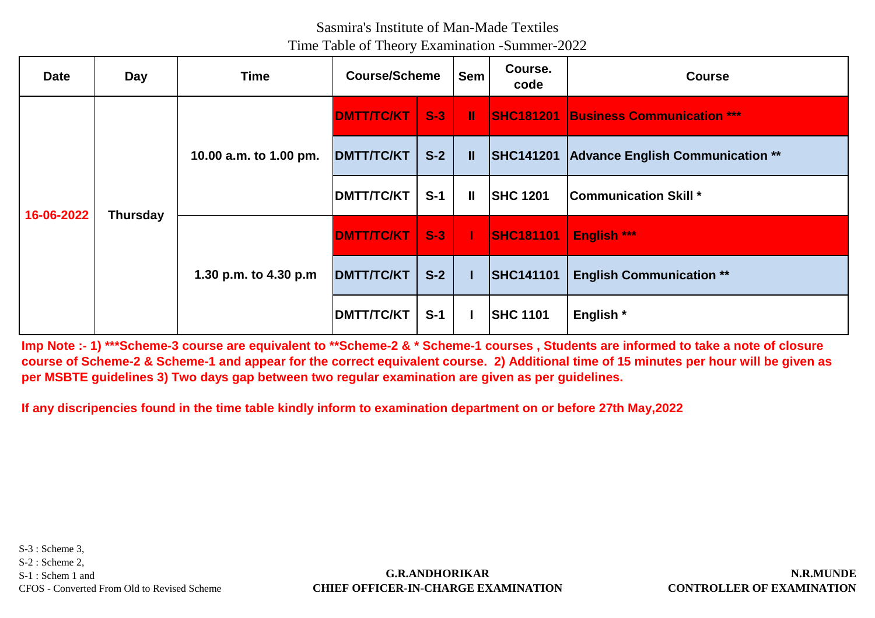# Sasmira's Institute of Man-Made Textiles

Time Table of Theory Examination -Summer-2022

| <b>Date</b> | Day             | <b>Time</b>            | <b>Course/Scheme</b> |       | <b>Sem</b>    | Course.<br>code  | <b>Course</b>                               |
|-------------|-----------------|------------------------|----------------------|-------|---------------|------------------|---------------------------------------------|
| 16-06-2022  |                 | 10.00 a.m. to 1.00 pm. | <b>DMTT/TC/KT</b>    | $S-3$ | T.            |                  | <b>SHC181201 Business Communication ***</b> |
|             |                 |                        | <b>DMTT/TC/KT</b>    | $S-2$ | $\mathbf{II}$ |                  | SHC141201 Advance English Communication **  |
|             | <b>Thursday</b> |                        | <b>DMTT/TC/KT</b>    | $S-1$ | $\mathbf{I}$  | <b>SHC 1201</b>  | <b>Communication Skill *</b>                |
|             |                 | 1.30 p.m. to 4.30 p.m  | <b>DMTT/TC/KT</b>    | $S-3$ | a ka          | <b>SHC181101</b> | <b>English ***</b>                          |
|             |                 |                        | <b>DMTT/TC/KT</b>    | $S-2$ |               | <b>SHC141101</b> | <b>English Communication **</b>             |
|             |                 |                        | <b>DMTT/TC/KT</b>    | $S-1$ |               | <b>SHC 1101</b>  | English *                                   |

**Imp Note :- 1) \*\*\*Scheme-3 course are equivalent to \*\*Scheme-2 & \* Scheme-1 courses , Students are informed to take a note of closure course of Scheme-2 & Scheme-1 and appear for the correct equivalent course. 2) Additional time of 15 minutes per hour will be given as per MSBTE guidelines 3) Two days gap between two regular examination are given as per guidelines.**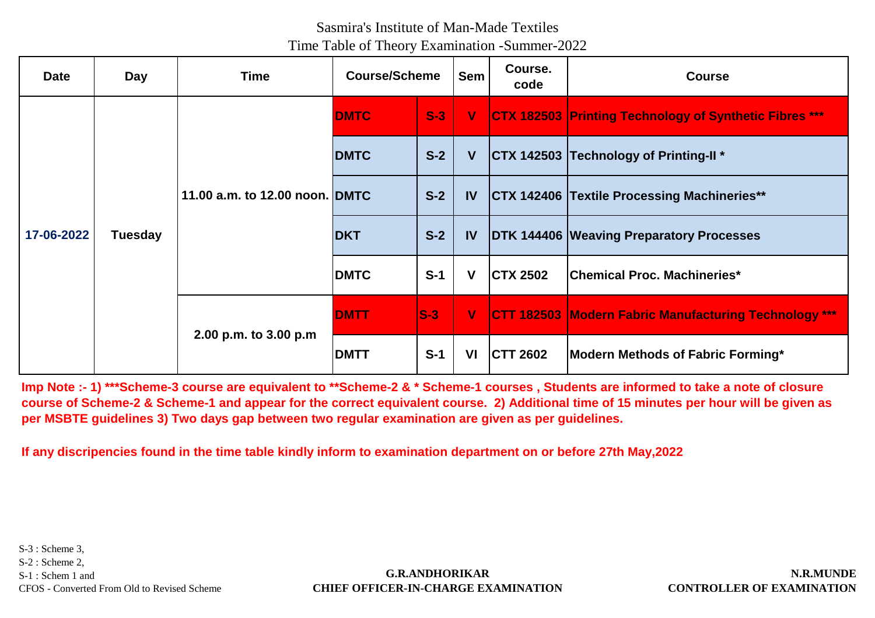| <b>Date</b> | Day            | Time                           | <b>Course/Scheme</b> |       | <b>Sem</b>   | Course.<br>code | <b>Course</b>                                                 |
|-------------|----------------|--------------------------------|----------------------|-------|--------------|-----------------|---------------------------------------------------------------|
|             |                |                                | <b>DMTC</b>          | $S-3$ | $\mathbf{V}$ |                 | <b>CTX 182503 Printing Technology of Synthetic Fibres ***</b> |
|             |                |                                | <b>DMTC</b>          | $S-2$ | V            |                 | <b>CTX 142503 Technology of Printing-II *</b>                 |
|             | <b>Tuesday</b> | 11.00 a.m. to 12.00 noon. DMTC |                      | $S-2$ | <b>IV</b>    |                 | <b>CTX 142406 Textile Processing Machineries**</b>            |
| 17-06-2022  |                |                                | <b>DKT</b>           | $S-2$ | <b>IV</b>    |                 | <b>DTK 144406 Weaving Preparatory Processes</b>               |
|             |                |                                | <b>DMTC</b>          | $S-1$ | V            | <b>CTX 2502</b> | Chemical Proc. Machineries*                                   |
|             |                |                                | <b>DMTT</b>          | $S-3$ | $\mathbf V$  |                 | <b>CTT 182503 Modern Fabric Manufacturing Technology ***</b>  |
|             |                | 2.00 p.m. to 3.00 p.m          | <b>DMTT</b>          | $S-1$ | <b>VI</b>    | <b>CTT 2602</b> | Modern Methods of Fabric Forming*                             |

**Imp Note :- 1) \*\*\*Scheme-3 course are equivalent to \*\*Scheme-2 & \* Scheme-1 courses , Students are informed to take a note of closure course of Scheme-2 & Scheme-1 and appear for the correct equivalent course. 2) Additional time of 15 minutes per hour will be given as per MSBTE guidelines 3) Two days gap between two regular examination are given as per guidelines.**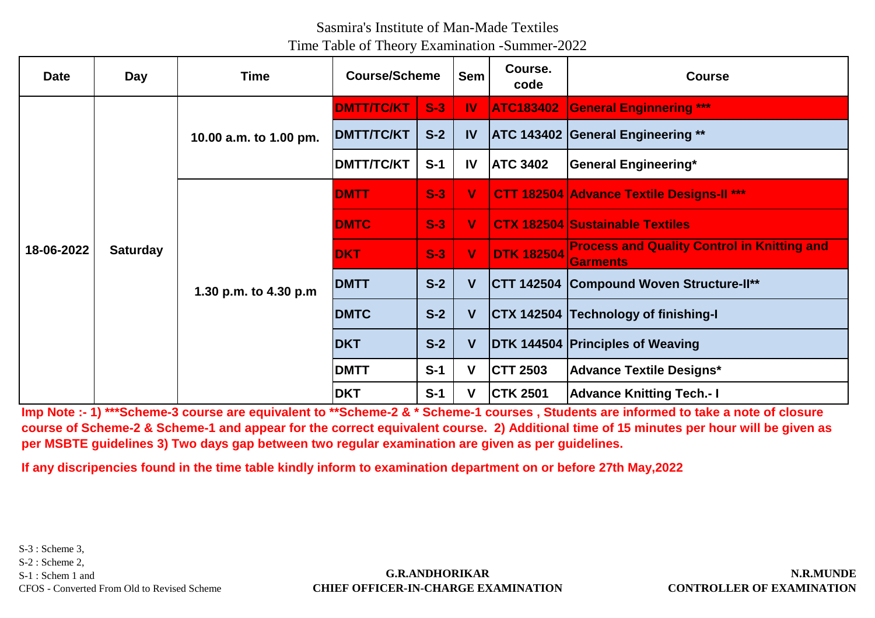# Sasmira's Institute of Man-Made Textiles

Time Table of Theory Examination -Summer-2022

| <b>Date</b> | Day             | <b>Time</b>            | <b>Course/Scheme</b> |       | <b>Sem</b>   | Course.<br>code   | <b>Course</b>                                                         |
|-------------|-----------------|------------------------|----------------------|-------|--------------|-------------------|-----------------------------------------------------------------------|
|             |                 |                        | <b>DMTT/TC/KT</b>    | $S-3$ | <b>IV</b>    | <b>ATC183402</b>  | <b>General Enginnering ***</b>                                        |
|             |                 | 10.00 a.m. to 1.00 pm. | <b>DMTT/TC/KT</b>    | $S-2$ | $\mathbf{I}$ |                   | <b>ATC 143402 General Engineering **</b>                              |
|             |                 |                        | <b>DMTT/TC/KT</b>    | $S-1$ | IV           | <b>ATC 3402</b>   | <b>General Engineering*</b>                                           |
|             |                 |                        | <b>IDMTT</b>         | $S-3$ | ۷            |                   | <b>CTT 182504 Advance Textile Designs-II ***</b>                      |
|             |                 | 1.30 p.m. to 4.30 p.m  | <b>DMTC</b>          | $S-3$ | V            |                   | <b>CTX 182504 Sustainable Textiles</b>                                |
| 18-06-2022  | <b>Saturday</b> |                        | <b>DKT</b>           | $S-3$ | V            | <b>DTK 182504</b> | <b>Process and Quality Control in Knitting and</b><br><b>Garments</b> |
|             |                 |                        | <b>DMTT</b>          | $S-2$ | V            |                   | <b>CTT 142504 Compound Woven Structure-II**</b>                       |
|             |                 |                        | <b>DMTC</b>          | $S-2$ | V            |                   | CTX 142504 Technology of finishing-I                                  |
|             |                 |                        | <b>DKT</b>           | $S-2$ | V            |                   | DTK 144504 Principles of Weaving                                      |
|             |                 |                        | <b>DMTT</b>          | $S-1$ | V            | <b>CTT 2503</b>   | <b>Advance Textile Designs*</b>                                       |
|             |                 |                        | <b>DKT</b>           | $S-1$ | V            | <b>CTK 2501</b>   | <b>Advance Knitting Tech.- I</b>                                      |

**Imp Note :- 1) \*\*\*Scheme-3 course are equivalent to \*\*Scheme-2 & \* Scheme-1 courses , Students are informed to take a note of closure course of Scheme-2 & Scheme-1 and appear for the correct equivalent course. 2) Additional time of 15 minutes per hour will be given as per MSBTE guidelines 3) Two days gap between two regular examination are given as per guidelines.**

**If any discripencies found in the time table kindly inform to examination department on or before 27th May,2022**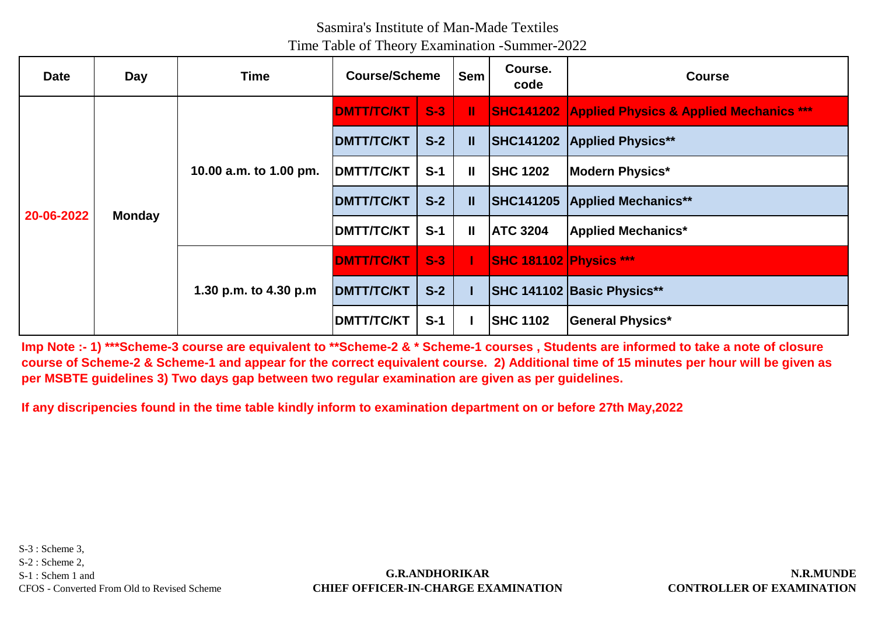| <b>Date</b> | Day           | Time                   | <b>Course/Scheme</b> |       | <b>Sem</b>   | Course.<br>code               | <b>Course</b>                                                |
|-------------|---------------|------------------------|----------------------|-------|--------------|-------------------------------|--------------------------------------------------------------|
|             |               |                        | <b>DMTT/TC/KT</b>    | $S-3$ | H.           |                               | <b>SHC141202 Applied Physics &amp; Applied Mechanics ***</b> |
|             |               |                        | <b>DMTT/TC/KT</b>    | $S-2$ | $\mathbf{I}$ |                               | SHC141202 Applied Physics**                                  |
|             |               | 10.00 a.m. to 1.00 pm. | <b>DMTT/TC/KT</b>    | $S-1$ | $\mathbf{I}$ | <b>SHC 1202</b>               | <b>Modern Physics*</b>                                       |
|             | <b>Monday</b> |                        | <b>DMTT/TC/KT</b>    | $S-2$ | $\mathbf{I}$ |                               | SHC141205 Applied Mechanics**                                |
| 20-06-2022  |               |                        | <b>DMTT/TC/KT</b>    | $S-1$ | $\mathbf{I}$ | <b>ATC 3204</b>               | <b>Applied Mechanics*</b>                                    |
|             |               | 1.30 p.m. to 4.30 p.m  | <b>DMTT/TC/KT</b>    | $S-3$ |              | <b>SHC 181102 Physics ***</b> |                                                              |
|             |               |                        | <b>DMTT/TC/KT</b>    | $S-2$ |              |                               | <b>SHC 141102 Basic Physics**</b>                            |
|             |               |                        | <b>DMTT/TC/KT</b>    | $S-1$ |              | <b>SHC 1102</b>               | <b>General Physics*</b>                                      |

**Imp Note :- 1) \*\*\*Scheme-3 course are equivalent to \*\*Scheme-2 & \* Scheme-1 courses , Students are informed to take a note of closure course of Scheme-2 & Scheme-1 and appear for the correct equivalent course. 2) Additional time of 15 minutes per hour will be given as per MSBTE guidelines 3) Two days gap between two regular examination are given as per guidelines.**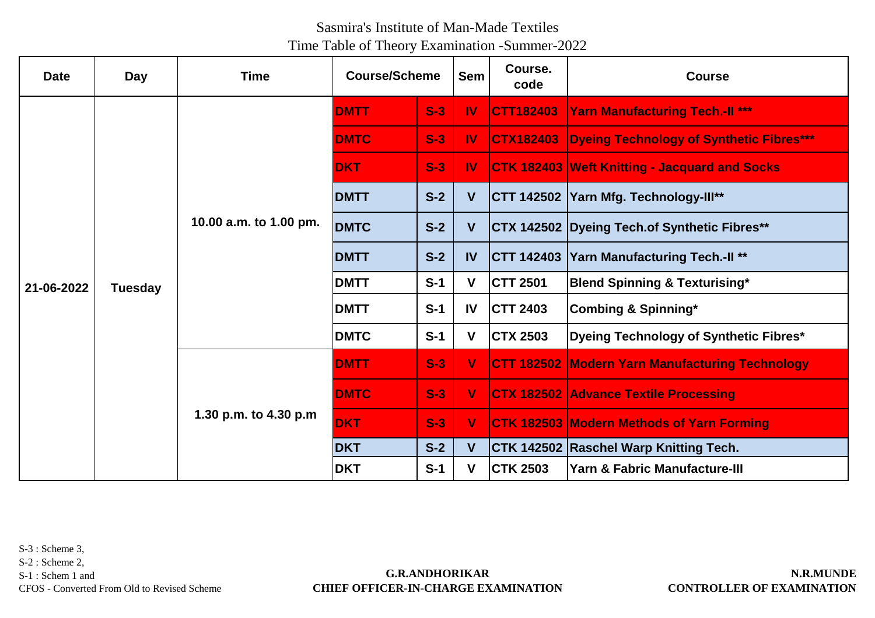| <b>Date</b> | Day            | <b>Time</b>            | <b>Course/Scheme</b> |       | <b>Sem</b>    | Course.<br>code   | <b>Course</b>                                        |
|-------------|----------------|------------------------|----------------------|-------|---------------|-------------------|------------------------------------------------------|
|             |                |                        | <b>DMTT</b>          | $S-3$ | <b>IV</b>     | CTT182403         | <b>Yarn Manufacturing Tech.-II ***</b>               |
|             |                |                        | <b>DMTC</b>          | $S-3$ | $\mathbf{I}$  | <b>CTX182403</b>  | <b>Dyeing Technology of Synthetic Fibres***</b>      |
|             |                |                        | <b>DKT</b>           | $S-3$ | $\mathbf{I}$  |                   | <b>CTK 182403 Weft Knitting - Jacquard and Socks</b> |
|             |                |                        | <b>DMTT</b>          | $S-2$ | V             |                   | CTT 142502 Yarn Mfg. Technology-Ill**                |
|             |                | 10.00 a.m. to 1.00 pm. | <b>DMTC</b>          | $S-2$ | $\mathsf{V}$  |                   | CTX 142502 Dyeing Tech.of Synthetic Fibres**         |
|             |                |                        | <b>DMTT</b>          | $S-2$ | IV            |                   | <b>CTT 142403 Yarn Manufacturing Tech.-II**</b>      |
| 21-06-2022  | <b>Tuesday</b> |                        | <b>DMTT</b>          | $S-1$ | V             | <b>CTT 2501</b>   | <b>Blend Spinning &amp; Texturising*</b>             |
|             |                |                        | <b>DMTT</b>          | $S-1$ | $\mathsf{IV}$ | <b>CTT 2403</b>   | <b>Combing &amp; Spinning*</b>                       |
|             |                |                        | <b>DMTC</b>          | $S-1$ | V             | <b>CTX 2503</b>   | Dyeing Technology of Synthetic Fibres*               |
|             |                | 1.30 p.m. to 4.30 p.m  | <b>DMTT</b>          | $S-3$ | V             | <b>CTT 182502</b> | <b>Modern Yarn Manufacturing Technology</b>          |
|             |                |                        | <b>DMTC</b>          | $S-3$ | V             |                   | <b>CTX 182502 Advance Textile Processing</b>         |
|             |                |                        | <b>DKT</b>           | $S-3$ | V             |                   | CTK 182503 Modern Methods of Yarn Forming            |
|             |                |                        | <b>DKT</b>           | $S-2$ | V             |                   | CTK 142502 Raschel Warp Knitting Tech.               |
|             |                |                        | <b>DKT</b>           | $S-1$ | V             | <b>CTK 2503</b>   | <b>Yarn &amp; Fabric Manufacture-III</b>             |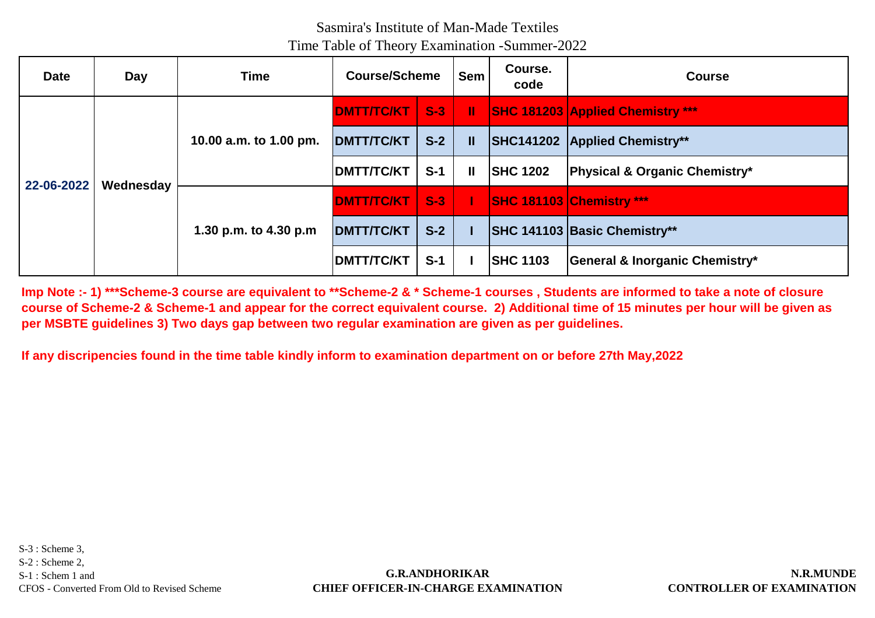| <b>Date</b> | Day       | <b>Time</b>                                     | <b>Course/Scheme</b> |       | <b>Sem</b> | Course.<br>code  | <b>Course</b>                            |
|-------------|-----------|-------------------------------------------------|----------------------|-------|------------|------------------|------------------------------------------|
|             |           | 10.00 a.m. to 1.00 pm.<br>1.30 p.m. to 4.30 p.m | <b>DMTT/TC/KT</b>    | $S-3$ | H.         |                  | <b>SHC 181203 Applied Chemistry ***</b>  |
|             |           |                                                 | <b>DMTT/TC/KT</b>    | $S-2$ | Ш          |                  | <b>SHC141202 Applied Chemistry**</b>     |
|             | Wednesday |                                                 | <b>DMTT/TC/KT</b>    | $S-1$ | Ш          | <b>ISHC 1202</b> | <b>Physical &amp; Organic Chemistry*</b> |
| 22-06-2022  |           |                                                 | <b>DMTT/TC/KT</b>    | $S-3$ |            |                  | <b>SHC 181103 Chemistry ***</b>          |
|             |           |                                                 | <b>DMTT/TC/KT</b>    | $S-2$ |            |                  | <b>SHC 141103 Basic Chemistry**</b>      |
|             |           |                                                 | <b>IDMTT/TC/KT</b>   | $S-1$ |            | <b>SHC 1103</b>  | General & Inorganic Chemistry*           |

**Imp Note :- 1) \*\*\*Scheme-3 course are equivalent to \*\*Scheme-2 & \* Scheme-1 courses , Students are informed to take a note of closure course of Scheme-2 & Scheme-1 and appear for the correct equivalent course. 2) Additional time of 15 minutes per hour will be given as per MSBTE guidelines 3) Two days gap between two regular examination are given as per guidelines.**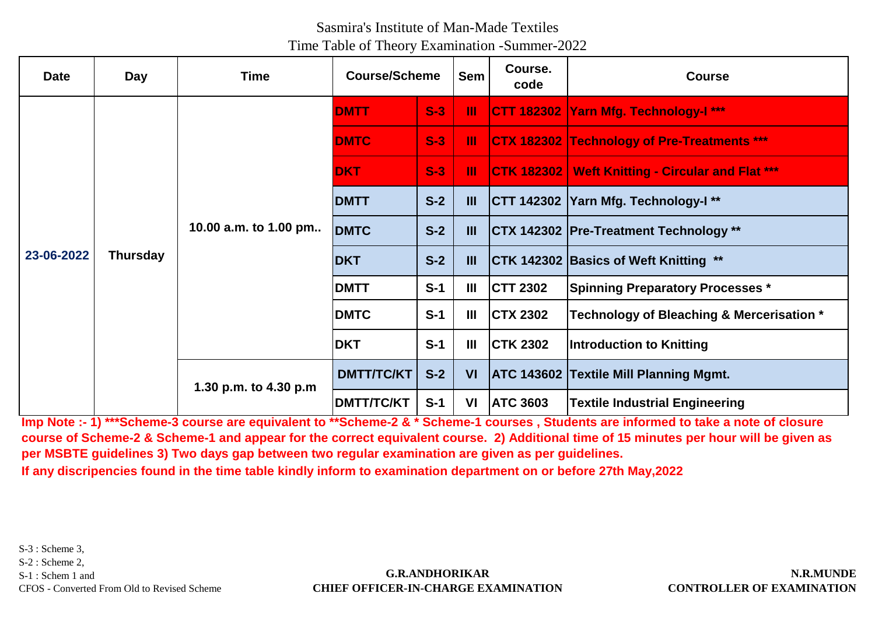| <b>Date</b> | <b>Day</b>      | <b>Time</b>           | <b>Course/Scheme</b> |       | <b>Sem</b>     | Course.<br>code | <b>Course</b>                                           |
|-------------|-----------------|-----------------------|----------------------|-------|----------------|-----------------|---------------------------------------------------------|
|             |                 |                       | <b>DMTT</b>          | $S-3$ | Ш              |                 | CTT 182302 Yarn Mfg. Technology-I ***                   |
|             |                 |                       | <b>DMTC</b>          | $S-3$ | Ш              |                 | <b>CTX 182302 Technology of Pre-Treatments ***</b>      |
|             |                 |                       | <b>DKT</b>           | $S-3$ | Ш              |                 | <b>CTK 182302 Weft Knitting - Circular and Flat ***</b> |
|             |                 |                       | <b>DMTT</b>          | $S-2$ | $\mathbf{III}$ |                 | CTT 142302 Yarn Mfg. Technology-I**                     |
|             |                 | 10.00 a.m. to 1.00 pm | <b>DMTC</b>          | $S-2$ | $\mathbf{III}$ |                 | <b>CTX 142302 Pre-Treatment Technology **</b>           |
| 23-06-2022  | <b>Thursday</b> |                       | <b>DKT</b>           | $S-2$ | $\mathbf{III}$ |                 | <b>CTK 142302 Basics of Weft Knitting **</b>            |
|             |                 |                       | <b>DMTT</b>          | $S-1$ | Ш              | <b>CTT 2302</b> | <b>Spinning Preparatory Processes *</b>                 |
|             |                 |                       | <b>DMTC</b>          | $S-1$ | Ш              | <b>CTX 2302</b> | Technology of Bleaching & Mercerisation *               |
|             |                 |                       | <b>IDKT</b>          | $S-1$ | Ш              | <b>CTK 2302</b> | Introduction to Knitting                                |
|             |                 | 1.30 p.m. to 4.30 p.m | <b>DMTT/TC/KT</b>    | $S-2$ | <b>VI</b>      |                 | <b>ATC 143602 Textile Mill Planning Mgmt.</b>           |
|             |                 |                       | <b>DMTT/TC/KT</b>    | $S-1$ | VI             | <b>ATC 3603</b> | <b>Textile Industrial Engineering</b>                   |

**Imp Note :- 1) \*\*\*Scheme-3 course are equivalent to \*\*Scheme-2 & \* Scheme-1 courses , Students are informed to take a note of closure course of Scheme-2 & Scheme-1 and appear for the correct equivalent course. 2) Additional time of 15 minutes per hour will be given as per MSBTE guidelines 3) Two days gap between two regular examination are given as per guidelines.**

**If any discripencies found in the time table kindly inform to examination department on or before 27th May,2022**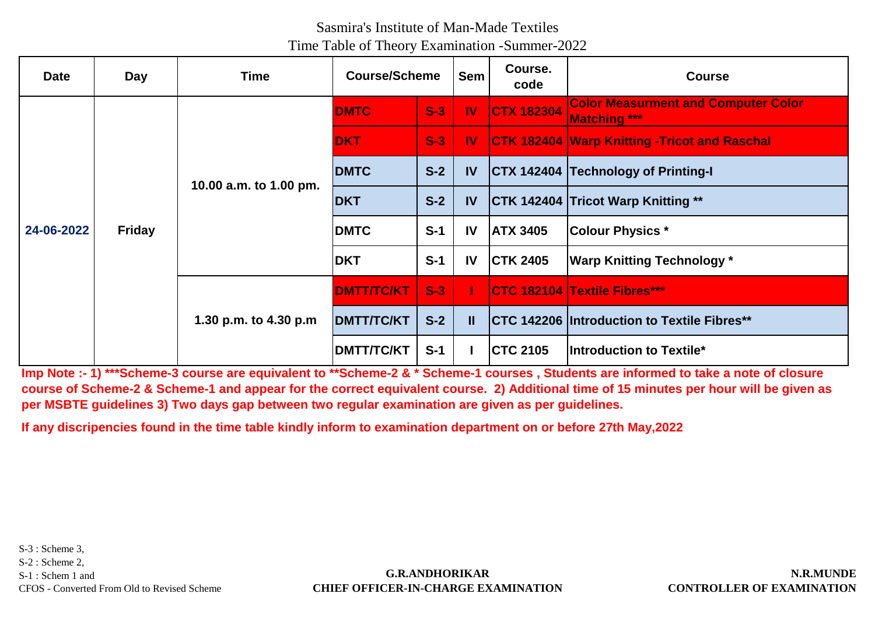| <b>Date</b> | <b>Day</b>    | Time                   | <b>Course/Scheme</b> |       | <b>Sem</b>   | Course.<br>code   | <b>Course</b>                                                     |
|-------------|---------------|------------------------|----------------------|-------|--------------|-------------------|-------------------------------------------------------------------|
|             |               |                        | <b>DMTC</b>          | $S-3$ | <b>IV</b>    | <b>CTX 182304</b> | <b>Color Measurment and Computer Color</b><br><b>Matching ***</b> |
|             |               |                        | <b>DKT</b>           | $S-3$ | $\mathbf{I}$ |                   | <b>CTK 182404 Warp Knitting - Tricot and Raschal</b>              |
|             |               | 10.00 a.m. to 1.00 pm. | <b>DMTC</b>          | $S-2$ | IV           |                   | <b>CTX 142404 Technology of Printing-I</b>                        |
|             |               |                        | <b>DKT</b>           | $S-2$ | <b>IV</b>    |                   | <b>CTK 142404 Tricot Warp Knitting **</b>                         |
| 24-06-2022  | <b>Friday</b> |                        | <b>DMTC</b>          | $S-1$ | <b>IV</b>    | <b>ATX 3405</b>   | <b>Colour Physics *</b>                                           |
|             |               |                        | <b>DKT</b>           | $S-1$ | <b>IV</b>    | <b>CTK 2405</b>   | <b>Warp Knitting Technology</b> *                                 |
|             |               |                        | <b>DMTT/TC/KT</b>    | $S-3$ |              |                   | <b>CTC 182104 Textile Fibres***</b>                               |
|             |               | 1.30 p.m. to 4.30 p.m  | <b>DMTT/TC/KT</b>    | $S-2$ | $\mathbf{I}$ |                   | <b>CTC 142206 Introduction to Textile Fibres**</b>                |
|             |               |                        | <b>DMTT/TC/KT</b>    | $S-1$ |              | <b>CTC 2105</b>   | Introduction to Textile*                                          |

**Imp Note :- 1) \*\*\*Scheme-3 course are equivalent to \*\*Scheme-2 & \* Scheme-1 courses , Students are informed to take a note of closure course of Scheme-2 & Scheme-1 and appear for the correct equivalent course. 2) Additional time of 15 minutes per hour will be given as per MSBTE guidelines 3) Two days gap between two regular examination are given as per guidelines.**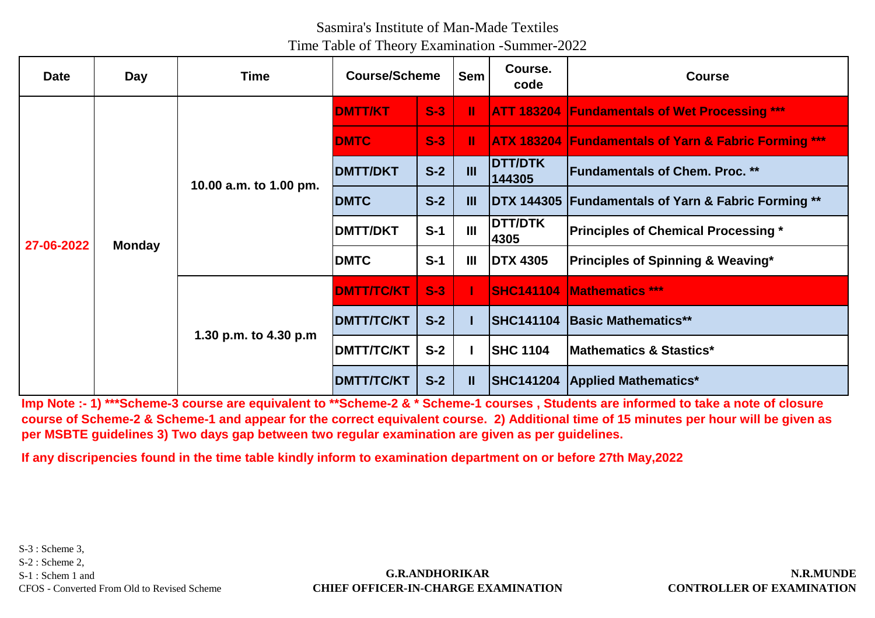| <b>Date</b> | Day           | <b>Time</b>            | <b>Course/Scheme</b> |       | <b>Sem</b>     | Course.<br>code          | <b>Course</b>                                                   |
|-------------|---------------|------------------------|----------------------|-------|----------------|--------------------------|-----------------------------------------------------------------|
|             |               |                        | <b>DMTT/KT</b>       | $S-3$ | Ш              |                          | <b>ATT 183204 Fundamentals of Wet Processing ***</b>            |
|             |               |                        | <b>DMTC</b>          | $S-3$ | Ш              |                          | <b>ATX 183204 Fundamentals of Yarn &amp; Fabric Forming ***</b> |
|             |               | 10.00 a.m. to 1.00 pm. | <b>DMTT/DKT</b>      | $S-2$ | $\mathbf{m}$   | <b>DTT/DTK</b><br>144305 | <b>Fundamentals of Chem. Proc. **</b>                           |
|             | <b>Monday</b> |                        | <b>DMTC</b>          | $S-2$ | Ш              |                          | DTX 144305 Fundamentals of Yarn & Fabric Forming **             |
| 27-06-2022  |               |                        | <b>DMTT/DKT</b>      | $S-1$ | $\mathbf{m}$   | <b>DTT/DTK</b><br>4305   | <b>Principles of Chemical Processing *</b>                      |
|             |               |                        | <b>DMTC</b>          | $S-1$ | $\mathbf{III}$ | <b>DTX 4305</b>          | <b>Principles of Spinning &amp; Weaving*</b>                    |
|             |               | 1.30 p.m. to 4.30 p.m  | <b>DMTT/TC/KT</b>    | $S-3$ |                | <b>SHC141104</b>         | <b>Mathematics ***</b>                                          |
|             |               |                        | <b>DMTT/TC/KT</b>    | $S-2$ |                | <b>SHC141104</b>         | <b>Basic Mathematics**</b>                                      |
|             |               |                        | <b>DMTT/TC/KT</b>    | $S-2$ |                | <b>SHC 1104</b>          | <b>Mathematics &amp; Stastics*</b>                              |
|             |               |                        | <b>DMTT/TC/KT</b>    | $S-2$ | Ш              |                          | <b>SHC141204 Applied Mathematics*</b>                           |

**Imp Note :- 1) \*\*\*Scheme-3 course are equivalent to \*\*Scheme-2 & \* Scheme-1 courses , Students are informed to take a note of closure course of Scheme-2 & Scheme-1 and appear for the correct equivalent course. 2) Additional time of 15 minutes per hour will be given as per MSBTE guidelines 3) Two days gap between two regular examination are given as per guidelines.**

**If any discripencies found in the time table kindly inform to examination department on or before 27th May,2022**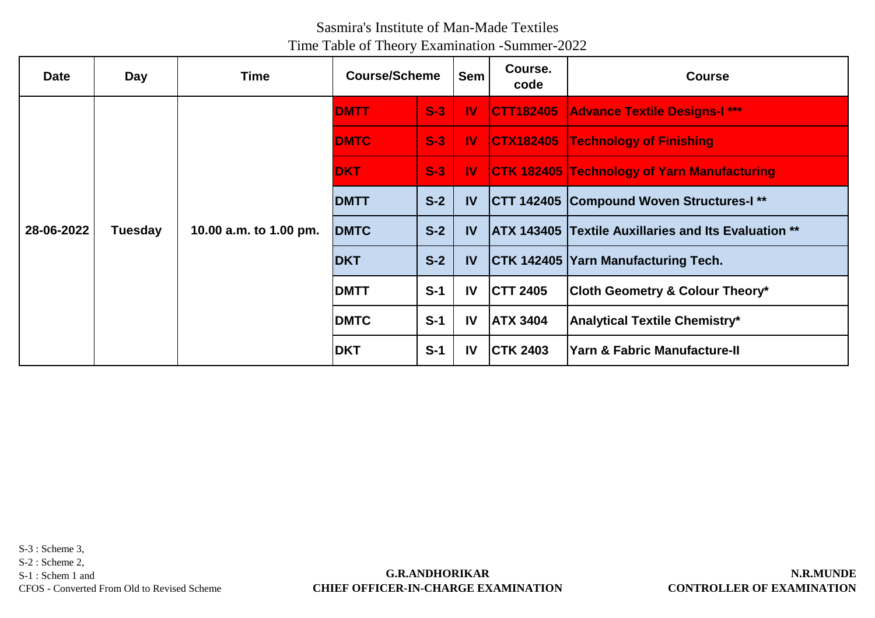| <b>Date</b> | <b>Day</b>     | Time                   | <b>Course/Scheme</b> |       | <b>Sem</b>    | Course.<br>code  | <b>Course</b>                                               |
|-------------|----------------|------------------------|----------------------|-------|---------------|------------------|-------------------------------------------------------------|
|             |                |                        | <b>DMTT</b>          | $S-3$ | $\mathbf{W}$  | <b>CTT182405</b> | <b>Advance Textile Designs-I ***</b>                        |
|             |                |                        | <b>DMTC</b>          | $S-3$ | $\mathbf{N}$  |                  | <b>CTX182405 Technology of Finishing</b>                    |
|             | <b>Tuesday</b> | 10.00 a.m. to 1.00 pm. | <b>DKT</b>           | $S-3$ | $\mathbf{N}$  |                  | <b>CTK 182405 Technology of Yarn Manufacturing</b>          |
|             |                |                        | <b>DMTT</b>          | $S-2$ | <b>IV</b>     |                  | CTT 142405 Compound Woven Structures-I**                    |
| 28-06-2022  |                |                        | <b>DMTC</b>          | $S-2$ | <b>IV</b>     |                  | <b>ATX 143405 Textile Auxillaries and Its Evaluation **</b> |
|             |                |                        | <b>DKT</b>           | $S-2$ | <b>IV</b>     |                  | CTK 142405   Yarn Manufacturing Tech.                       |
|             |                |                        | <b>DMTT</b>          | $S-1$ | <b>IV</b>     | <b>CTT 2405</b>  | <b>Cloth Geometry &amp; Colour Theory*</b>                  |
|             |                |                        | <b>DMTC</b>          | $S-1$ | IV            | <b>ATX 3404</b>  | <b>Analytical Textile Chemistry*</b>                        |
|             |                |                        | <b>IDKT</b>          | $S-1$ | $\mathsf{IV}$ | <b>CTK 2403</b>  | Yarn & Fabric Manufacture-II                                |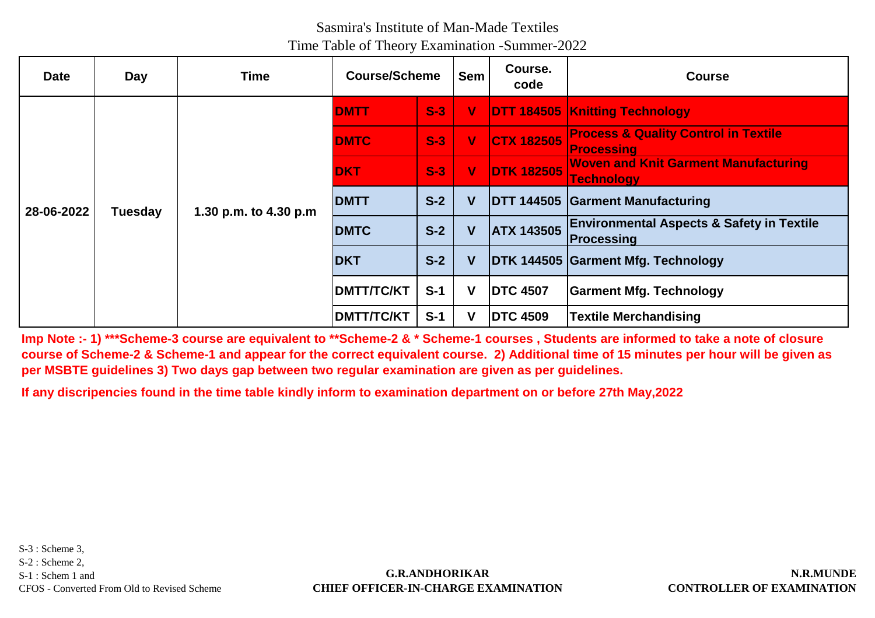| <b>Date</b> | Day            | <b>Time</b>           | <b>Course/Scheme</b> |       | <b>Sem</b>  | Course.<br>code   | <b>Course</b>                                                             |
|-------------|----------------|-----------------------|----------------------|-------|-------------|-------------------|---------------------------------------------------------------------------|
|             |                |                       | <b>IDMTT</b>         | $S-3$ | $\mathbf V$ |                   | <b>DTT 184505 Knitting Technology</b>                                     |
|             |                |                       | <b>DMTC</b>          | $S-3$ | $\mathbf v$ | <b>CTX 182505</b> | <b>Process &amp; Quality Control in Textile</b><br><b>Processing</b>      |
|             |                | 1.30 p.m. to 4.30 p.m | <b>DKT</b>           | $S-3$ | V           | <b>DTK 182505</b> | <b>Woven and Knit Garment Manufacturing</b><br><b>Technology</b>          |
| 28-06-2022  | <b>Tuesday</b> |                       | <b>DMTT</b>          | $S-2$ | V           |                   | <b>DTT 144505 Garment Manufacturing</b>                                   |
|             |                |                       | <b>DMTC</b>          | $S-2$ | V           | <b>ATX 143505</b> | <b>Environmental Aspects &amp; Safety in Textile</b><br><b>Processing</b> |
|             |                |                       | <b>DKT</b>           | $S-2$ | V           |                   | DTK 144505 Garment Mfg. Technology                                        |
|             |                |                       | <b>DMTT/TC/KT</b>    | $S-1$ | V           | <b>DTC 4507</b>   | <b>Garment Mfg. Technology</b>                                            |
|             |                |                       | <b>DMTT/TC/KT</b>    | $S-1$ | v           | <b>DTC 4509</b>   | <b>Textile Merchandising</b>                                              |

**Imp Note :- 1) \*\*\*Scheme-3 course are equivalent to \*\*Scheme-2 & \* Scheme-1 courses , Students are informed to take a note of closure course of Scheme-2 & Scheme-1 and appear for the correct equivalent course. 2) Additional time of 15 minutes per hour will be given as per MSBTE guidelines 3) Two days gap between two regular examination are given as per guidelines.**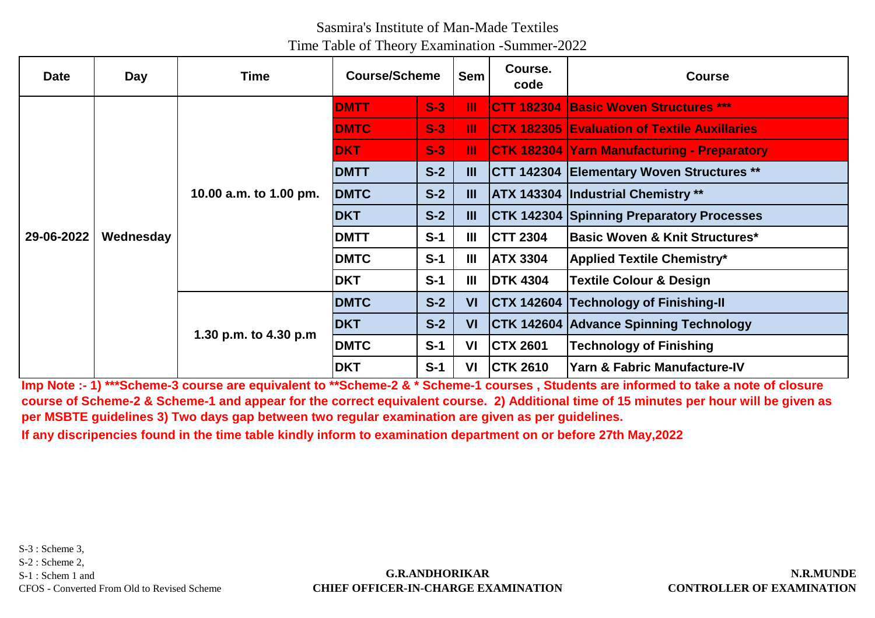| <b>Date</b> | Day       | Time                   | <b>Course/Scheme</b> |       | <b>Sem</b>     | Course.<br>code | <b>Course</b>                                       |
|-------------|-----------|------------------------|----------------------|-------|----------------|-----------------|-----------------------------------------------------|
| 29-06-2022  | Wednesday | 10.00 a.m. to 1.00 pm. | <b>DMTT</b>          | $S-3$ | Ш              |                 | <b>CTT 182304 Basic Woven Structures ***</b>        |
|             |           |                        | <b>DMTC</b>          | $S-3$ | Ш              |                 | <b>CTX 182305 Evaluation of Textile Auxillaries</b> |
|             |           |                        | <b>DKT</b>           | $S-3$ | Ш              |                 | <b>CTK 182304 Yarn Manufacturing - Preparatory</b>  |
|             |           |                        | <b>DMTT</b>          | $S-2$ | $\mathbf{m}$   |                 | <b>CTT 142304 Elementary Woven Structures **</b>    |
|             |           |                        | <b>DMTC</b>          | $S-2$ | Ш              |                 | <b>ATX 143304 Industrial Chemistry **</b>           |
|             |           |                        | <b>DKT</b>           | $S-2$ | $\mathbf{III}$ |                 | <b>CTK 142304 Spinning Preparatory Processes</b>    |
|             |           |                        | <b>DMTT</b>          | $S-1$ | $\mathbf{III}$ | <b>CTT 2304</b> | Basic Woven & Knit Structures*                      |
|             |           |                        | <b>DMTC</b>          | $S-1$ | $\mathbf{III}$ | <b>ATX 3304</b> | <b>Applied Textile Chemistry*</b>                   |
|             |           |                        | <b>DKT</b>           | $S-1$ | $\mathbf{III}$ | <b>DTK 4304</b> | <b>Textile Colour &amp; Design</b>                  |
|             |           | 1.30 p.m. to 4.30 p.m  | <b>DMTC</b>          | $S-2$ | VI             |                 | <b>CTX 142604 Technology of Finishing-II</b>        |
|             |           |                        | <b>DKT</b>           | $S-2$ | VI             |                 | CTK 142604 Advance Spinning Technology              |
|             |           |                        | <b>DMTC</b>          | $S-1$ | VI             | <b>CTX 2601</b> | <b>Technology of Finishing</b>                      |
|             |           |                        | <b>DKT</b>           | $S-1$ | VI             | <b>CTK 2610</b> | <b>Yarn &amp; Fabric Manufacture-IV</b>             |

**Imp Note :- 1) \*\*\*Scheme-3 course are equivalent to \*\*Scheme-2 & \* Scheme-1 courses , Students are informed to take a note of closure course of Scheme-2 & Scheme-1 and appear for the correct equivalent course. 2) Additional time of 15 minutes per hour will be given as per MSBTE guidelines 3) Two days gap between two regular examination are given as per guidelines.**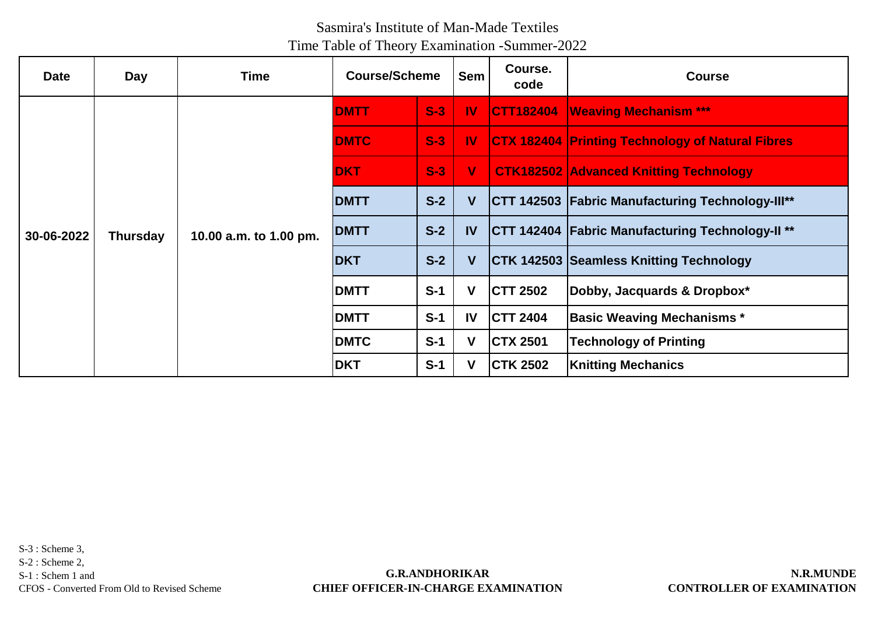| <b>Date</b> | <b>Day</b>      | <b>Time</b>            | <b>Course/Scheme</b> |       | <b>Sem</b>   | Course.<br>code  | <b>Course</b>                                           |
|-------------|-----------------|------------------------|----------------------|-------|--------------|------------------|---------------------------------------------------------|
| 30-06-2022  | <b>Thursday</b> | 10.00 a.m. to 1.00 pm. | <b>DMTT</b>          | $S-3$ | $\mathbf{N}$ | <b>CTT182404</b> | <b>Weaving Mechanism ***</b>                            |
|             |                 |                        | <b>DMTC</b>          | $S-3$ | $\mathbf{N}$ |                  | <b>CTX 182404 Printing Technology of Natural Fibres</b> |
|             |                 |                        | <b>DKT</b>           | $S-3$ | $\mathbf{V}$ |                  | <b>CTK182502 Advanced Knitting Technology</b>           |
|             |                 |                        | <b>DMTT</b>          | $S-2$ | V            |                  | <b>CTT 142503 Fabric Manufacturing Technology-Ill**</b> |
|             |                 |                        | <b>DMTT</b>          | $S-2$ | IV           |                  | <b>CTT 142404 Fabric Manufacturing Technology-II **</b> |
|             |                 |                        | <b>DKT</b>           | $S-2$ | V            |                  | <b>CTK 142503 Seamless Knitting Technology</b>          |
|             |                 |                        | <b>DMTT</b>          | $S-1$ | v            | <b>CTT 2502</b>  | Dobby, Jacquards & Dropbox*                             |
|             |                 |                        | <b>DMTT</b>          | $S-1$ | <b>IV</b>    | <b>CTT 2404</b>  | <b>Basic Weaving Mechanisms *</b>                       |
|             |                 |                        | <b>DMTC</b>          | $S-1$ | v            | <b>CTX 2501</b>  | <b>Technology of Printing</b>                           |
|             |                 |                        | <b>DKT</b>           | $S-1$ |              | <b>CTK 2502</b>  | <b>Knitting Mechanics</b>                               |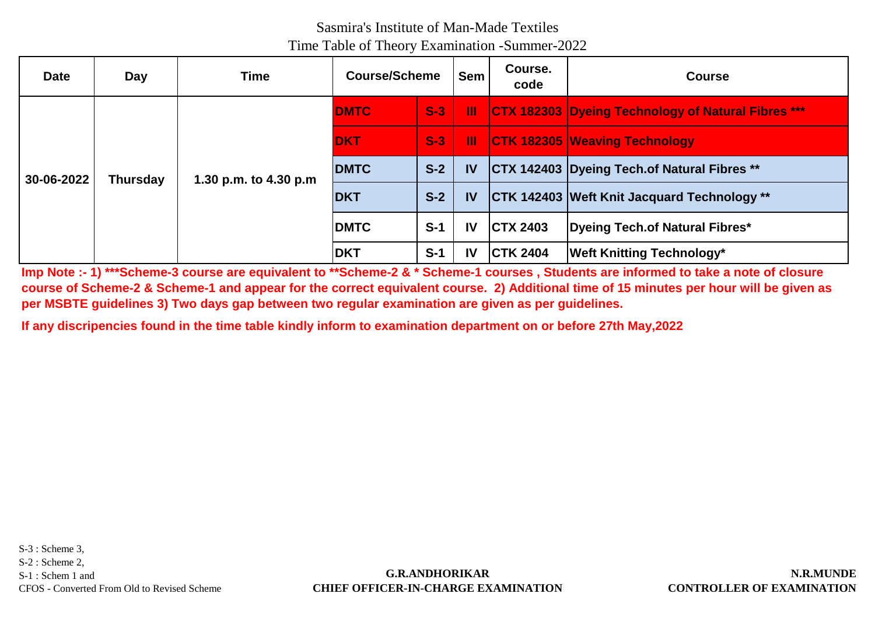| <b>Date</b> | Day             | <b>Time</b>           | <b>Course/Scheme</b> |       | <b>Sem</b>    | Course.<br>code | <b>Course</b>                                             |
|-------------|-----------------|-----------------------|----------------------|-------|---------------|-----------------|-----------------------------------------------------------|
| 30-06-2022  | <b>Thursday</b> | 1.30 p.m. to 4.30 p.m | <b>DMTC</b>          | $S-3$ | - 111         |                 | <b>CTX 182303 Dyeing Technology of Natural Fibres ***</b> |
|             |                 |                       | <b>DKT</b>           | $S-3$ | Ш             |                 | <b>CTK 182305 Weaving Technology</b>                      |
|             |                 |                       | <b>DMTC</b>          | $S-2$ | <b>IV</b>     |                 | <b>CTX 142403 Dyeing Tech.of Natural Fibres **</b>        |
|             |                 |                       | <b>DKT</b>           | $S-2$ | <b>IV</b>     |                 | <b>CTK 142403 Weft Knit Jacquard Technology</b> **        |
|             |                 |                       | <b>DMTC</b>          | $S-1$ | $\mathbf{I}$  | <b>CTX 2403</b> | Dyeing Tech.of Natural Fibres*                            |
|             |                 |                       | <b>DKT</b>           | $S-1$ | $\mathsf{IV}$ | <b>CTK 2404</b> | <b>Weft Knitting Technology*</b>                          |

**Imp Note :- 1) \*\*\*Scheme-3 course are equivalent to \*\*Scheme-2 & \* Scheme-1 courses , Students are informed to take a note of closure course of Scheme-2 & Scheme-1 and appear for the correct equivalent course. 2) Additional time of 15 minutes per hour will be given as per MSBTE guidelines 3) Two days gap between two regular examination are given as per guidelines.**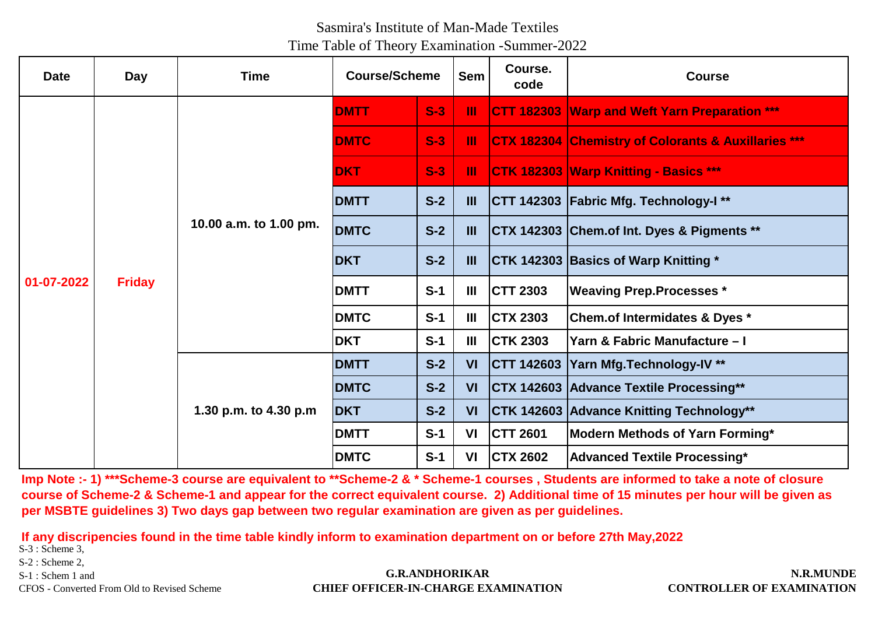| <b>Date</b> | <b>Day</b>    | <b>Time</b>            | <b>Course/Scheme</b> |       | <b>Sem</b>     | Course.<br>code   | <b>Course</b>                                       |
|-------------|---------------|------------------------|----------------------|-------|----------------|-------------------|-----------------------------------------------------|
|             | <b>Friday</b> | 10.00 a.m. to 1.00 pm. | <b>DMTT</b>          | $S-3$ | Ш              | <b>CTT 182303</b> | <b>Warp and Weft Yarn Preparation ***</b>           |
|             |               |                        | <b>DMTC</b>          | $S-3$ | Ш              | <b>CTX 182304</b> | <b>Chemistry of Colorants &amp; Auxillaries ***</b> |
|             |               |                        | <b>DKT</b>           | $S-3$ | Ш              |                   | CTK 182303 Warp Knitting - Basics ***               |
|             |               |                        | <b>DMTT</b>          | $S-2$ | $\mathbf{m}$   |                   | CTT 142303 Fabric Mfg. Technology-I**               |
| 01-07-2022  |               |                        | <b>DMTC</b>          | $S-2$ | $\mathbf{III}$ |                   | CTX 142303 Chem.of Int. Dyes & Pigments **          |
|             |               |                        | <b>DKT</b>           | $S-2$ | $\mathbf{m}$   |                   | CTK 142303 Basics of Warp Knitting *                |
|             |               |                        | <b>DMTT</b>          | $S-1$ | Ш              | <b>CTT 2303</b>   | <b>Weaving Prep.Processes *</b>                     |
|             |               |                        | <b>DMTC</b>          | $S-1$ | $\mathbf{III}$ | <b>CTX 2303</b>   | Chem.of Intermidates & Dyes *                       |
|             |               |                        | <b>DKT</b>           | $S-1$ | $\mathbf{m}$   | <b>CTK 2303</b>   | Yarn & Fabric Manufacture - I                       |
|             |               | 1.30 p.m. to 4.30 p.m  | <b>DMTT</b>          | $S-2$ | <b>VI</b>      |                   | CTT 142603 Yarn Mfg.Technology-IV **                |
|             |               |                        | <b>DMTC</b>          | $S-2$ | VI             |                   | CTX 142603 Advance Textile Processing**             |
|             |               |                        | <b>DKT</b>           | $S-2$ | VI             |                   | CTK 142603 Advance Knitting Technology**            |
|             |               |                        | <b>DMTT</b>          | $S-1$ | VI             | <b>CTT 2601</b>   | Modern Methods of Yarn Forming*                     |
|             |               |                        | <b>DMTC</b>          | $S-1$ | VI             | <b>CTX 2602</b>   | <b>Advanced Textile Processing*</b>                 |

**Imp Note :- 1) \*\*\*Scheme-3 course are equivalent to \*\*Scheme-2 & \* Scheme-1 courses , Students are informed to take a note of closure course of Scheme-2 & Scheme-1 and appear for the correct equivalent course. 2) Additional time of 15 minutes per hour will be given as per MSBTE guidelines 3) Two days gap between two regular examination are given as per guidelines.**

**If any discripencies found in the time table kindly inform to examination department on or before 27th May,2022**

S-3 : Scheme 3,

S-2 : Scheme 2,

S-1 : Schem 1 and

CFOS - Converted From Old to Revised Scheme